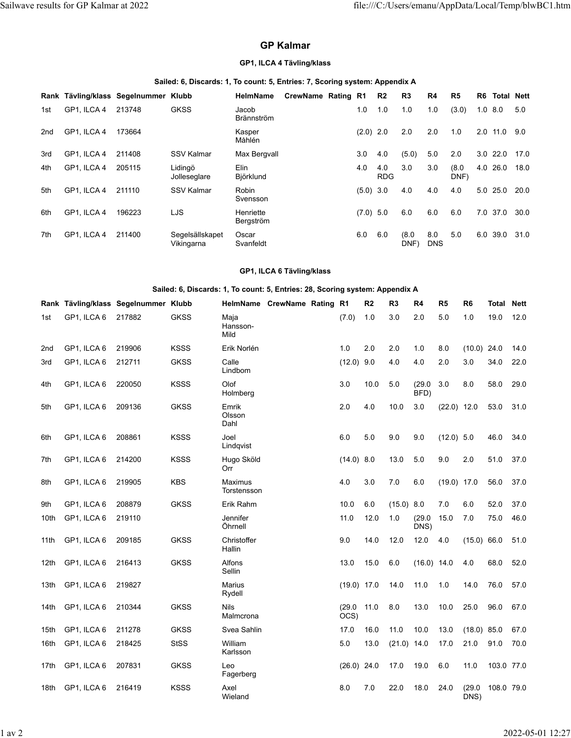# **GP Kalmar**

# **GP1, ILCA 4 Tävling/klass**

#### **Sailed: 6, Discards: 1, To count: 5, Entries: 7, Scoring system: Appendix A**

|     |             | Rank Tävling/klass Segelnummer Klubb |                               | <b>HelmName</b>            | CrewName Rating R1 |             | R <sub>2</sub>    | R3            | R4                | R5            | R6  | <b>Total Nett</b> |      |
|-----|-------------|--------------------------------------|-------------------------------|----------------------------|--------------------|-------------|-------------------|---------------|-------------------|---------------|-----|-------------------|------|
| 1st | GP1, ILCA 4 | 213748                               | <b>GKSS</b>                   | Jacob<br><b>Brännström</b> |                    | 1.0         | 1.0               | 1.0           | 1.0               | (3.0)         | 1.0 | 8.0               | 5.0  |
| 2nd | GP1, ILCA 4 | 173664                               |                               | Kasper<br>Måhlén           |                    | $(2.0)$ 2.0 |                   | 2.0           | 2.0               | 1.0           | 2.0 | 11.0              | 9.0  |
| 3rd | GP1, ILCA 4 | 211408                               | SSV Kalmar                    | Max Bergvall               |                    | 3.0         | 4.0               | (5.0)         | 5.0               | 2.0           | 3.0 | 22.0              | 17.0 |
| 4th | GP1, ILCA 4 | 205115                               | Lidingö<br>Jolleseglare       | Elin<br>Björklund          |                    | 4.0         | 4.0<br><b>RDG</b> | 3.0           | 3.0               | (8.0)<br>DNF) | 4.0 | 26.0              | 18.0 |
| 5th | GP1, ILCA 4 | 211110                               | <b>SSV Kalmar</b>             | Robin<br>Svensson          |                    | $(5.0)$ 3.0 |                   | 4.0           | 4.0               | 4.0           | 5.0 | 25.0              | 20.0 |
| 6th | GP1. ILCA 4 | 196223                               | LJS                           | Henriette<br>Bergström     |                    | (7.0)       | 5.0               | 6.0           | 6.0               | 6.0           | 7.0 | 37.0              | 30.0 |
| 7th | GP1, ILCA 4 | 211400                               | Segelsällskapet<br>Vikingarna | Oscar<br>Svanfeldt         |                    | 6.0         | 6.0               | (8.0)<br>DNF) | 8.0<br><b>DNS</b> | 5.0           | 6.0 | 39.0              | 31.0 |

### **GP1, ILCA 6 Tävling/klass**

### **Sailed: 6, Discards: 1, To count: 5, Entries: 28, Scoring system: Appendix A**

|                 |             | Rank Tävling/klass Segelnummer Klubb |             |                          | HelmName CrewName Rating R1 |                | R <sub>2</sub> | R <sub>3</sub> | R4             | R <sub>5</sub> | R <sub>6</sub> | <b>Total</b> | <b>Nett</b> |
|-----------------|-------------|--------------------------------------|-------------|--------------------------|-----------------------------|----------------|----------------|----------------|----------------|----------------|----------------|--------------|-------------|
| 1st             | GP1, ILCA 6 | 217882                               | <b>GKSS</b> | Maja<br>Hansson-<br>Mild |                             | (7.0)          | 1.0            | 3.0            | 2.0            | 5.0            | 1.0            | 19.0         | 12.0        |
| 2 <sub>nd</sub> | GP1, ILCA 6 | 219906                               | <b>KSSS</b> | Erik Norlén              |                             | 1.0            | 2.0            | 2.0            | 1.0            | 8.0            | $(10.0)$ 24.0  |              | 14.0        |
| 3rd             | GP1, ILCA 6 | 212711                               | <b>GKSS</b> | Calle<br>Lindbom         |                             | (12.0)         | 9.0            | 4.0            | 4.0            | 2.0            | 3.0            | 34.0         | 22.0        |
| 4th             | GP1, ILCA 6 | 220050                               | <b>KSSS</b> | Olof<br>Holmberg         |                             | 3.0            | 10.0           | 5.0            | (29.0)<br>BFD) | 3.0            | 8.0            | 58.0         | 29.0        |
| 5th             | GP1, ILCA 6 | 209136                               | <b>GKSS</b> | Emrik<br>Olsson<br>Dahl  |                             | 2.0            | 4.0            | 10.0           | 3.0            | $(22.0)$ 12.0  |                | 53.0         | 31.0        |
| 6th             | GP1, ILCA 6 | 208861                               | <b>KSSS</b> | Joel<br>Lindqvist        |                             | 6.0            | 5.0            | 9.0            | 9.0            | $(12.0)$ 5.0   |                | 46.0         | 34.0        |
| 7th             | GP1, ILCA 6 | 214200                               | <b>KSSS</b> | Hugo Sköld<br>Orr        |                             | (14.0) 8.0     |                | 13.0           | 5.0            | 9.0            | 2.0            | 51.0         | 37.0        |
| 8th             | GP1, ILCA 6 | 219905                               | <b>KBS</b>  | Maximus<br>Torstensson   |                             | 4.0            | 3.0            | 7.0            | 6.0            | $(19.0)$ 17.0  |                | 56.0         | 37.0        |
| 9th             | GP1, ILCA 6 | 208879                               | <b>GKSS</b> | Erik Rahm                |                             | 10.0           | 6.0            | (15.0) 8.0     |                | 7.0            | 6.0            | 52.0         | 37.0        |
| 10th            | GP1, ILCA 6 | 219110                               |             | Jennifer<br>Öhrnell      |                             | 11.0           | 12.0           | 1.0            | (29.0)<br>DNS) | 15.0           | 7.0            | 75.0         | 46.0        |
| 11th            | GP1, ILCA 6 | 209185                               | <b>GKSS</b> | Christoffer<br>Hallin    |                             | 9.0            | 14.0           | 12.0           | 12.0           | 4.0            | (15.0) 66.0    |              | 51.0        |
| 12th            | GP1, ILCA 6 | 216413                               | <b>GKSS</b> | Alfons<br>Sellin         |                             | 13.0           | 15.0           | 6.0            | $(16.0)$ 14.0  |                | 4.0            | 68.0         | 52.0        |
| 13th            | GP1, ILCA 6 | 219827                               |             | Marius<br>Rydell         |                             | $(19.0)$ 17.0  |                | 14.0           | 11.0           | 1.0            | 14.0           | 76.0         | 57.0        |
| 14th            | GP1, ILCA 6 | 210344                               | <b>GKSS</b> | <b>Nils</b><br>Malmcrona |                             | (29.0)<br>OCS) | 11.0           | 8.0            | 13.0           | 10.0           | 25.0           | 96.0         | 67.0        |
| 15th            | GP1, ILCA 6 | 211278                               | <b>GKSS</b> | Svea Sahlin              |                             | 17.0           | 16.0           | 11.0           | 10.0           | 13.0           | $(18.0)$ 85.0  |              | 67.0        |
| 16th            | GP1, ILCA 6 | 218425                               | <b>StSS</b> | William<br>Karlsson      |                             | 5.0            | 13.0           | $(21.0)$ 14.0  |                | 17.0           | 21.0           | 91.0         | 70.0        |
| 17th            | GP1, ILCA 6 | 207831                               | <b>GKSS</b> | Leo<br>Fagerberg         |                             | $(26.0)$ 24.0  |                | 17.0           | 19.0           | 6.0            | 11.0           | 103.0 77.0   |             |
| 18th            | GP1, ILCA 6 | 216419                               | <b>KSSS</b> | Axel<br>Wieland          |                             | 8.0            | 7.0            | 22.0           | 18.0           | 24.0           | (29.0)<br>DNS) | 108.0 79.0   |             |